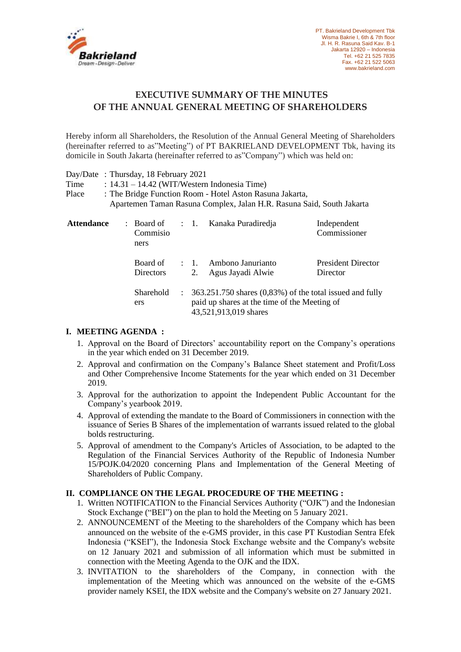

# **EXECUTIVE SUMMARY OF THE MINUTES OF THE ANNUAL GENERAL MEETING OF SHAREHOLDERS**

Hereby inform all Shareholders, the Resolution of the Annual General Meeting of Shareholders (hereinafter referred to as"Meeting") of PT BAKRIELAND DEVELOPMENT Tbk, having its domicile in South Jakarta (hereinafter referred to as"Company") which was held on:

| Day/Date: Thursday, 18 February 2021 |                  |                                                                                                                                                |                                                                                                                                   |                                       |
|--------------------------------------|------------------|------------------------------------------------------------------------------------------------------------------------------------------------|-----------------------------------------------------------------------------------------------------------------------------------|---------------------------------------|
| Time                                 |                  |                                                                                                                                                | : $14.31 - 14.42$ (WIT/Western Indonesia Time)                                                                                    |                                       |
| Place                                |                  |                                                                                                                                                | : The Bridge Function Room - Hotel Aston Rasuna Jakarta,<br>Apartemen Taman Rasuna Complex, Jalan H.R. Rasuna Said, South Jakarta |                                       |
| <b>Attendance</b>                    | Commisio<br>ners |                                                                                                                                                | : Board of : 1. Kanaka Puradiredja                                                                                                | Independent<br>Commissioner           |
|                                      | <b>Directors</b> | 2.                                                                                                                                             | Board of : 1. Ambono Janurianto<br>Agus Jayadi Alwie                                                                              | <b>President Director</b><br>Director |
|                                      | Sharehold<br>ers | $\therefore$ 363.251.750 shares (0,83%) of the total issued and fully<br>paid up shares at the time of the Meeting of<br>43,521,913,019 shares |                                                                                                                                   |                                       |

# **I. MEETING AGENDA :**

- 1. Approval on the Board of Directors' accountability report on the Company's operations in the year which ended on 31 December 2019.
- 2. Approval and confirmation on the Company's Balance Sheet statement and Profit/Loss and Other Comprehensive Income Statements for the year which ended on 31 December 2019.
- 3. Approval for the authorization to appoint the Independent Public Accountant for the Company's yearbook 2019.
- 4. Approval of extending the mandate to the Board of Commissioners in connection with the issuance of Series B Shares of the implementation of warrants issued related to the global bolds restructuring.
- 5. Approval of amendment to the Company's Articles of Association, to be adapted to the Regulation of the Financial Services Authority of the Republic of Indonesia Number 15/POJK.04/2020 concerning Plans and Implementation of the General Meeting of Shareholders of Public Company.

### **II. COMPLIANCE ON THE LEGAL PROCEDURE OF THE MEETING :**

- 1. Written NOTIFICATION to the Financial Services Authority ("OJK") and the Indonesian Stock Exchange ("BEI") on the plan to hold the Meeting on 5 January 2021.
- 2. ANNOUNCEMENT of the Meeting to the shareholders of the Company which has been announced on the website of the e-GMS provider, in this case PT Kustodian Sentra Efek Indonesia ("KSEI"), the Indonesia Stock Exchange website and the Company's website on 12 January 2021 and submission of all information which must be submitted in connection with the Meeting Agenda to the OJK and the IDX.
- 3. INVITATION to the shareholders of the Company, in connection with the implementation of the Meeting which was announced on the website of the e-GMS provider namely KSEI, the IDX website and the Company's website on 27 January 2021.